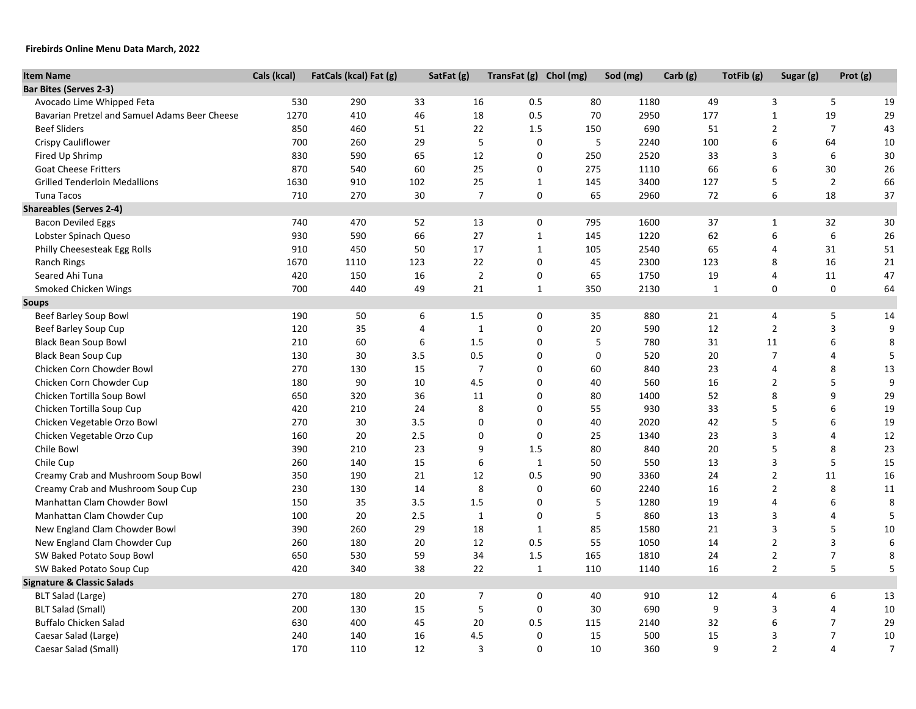## **Firebirds Online Menu Data March, 2022**

| Avocado Lime Whipped Feta<br>290<br>0.5<br>1180<br>5<br>530<br>33<br>16<br>80<br>49<br>3<br>19<br>19<br>1270<br>46<br>18<br>0.5<br>70<br>177<br>$\mathbf{1}$<br>29<br>Bavarian Pretzel and Samuel Adams Beer Cheese<br>410<br>2950<br>$\overline{2}$<br>$\overline{7}$<br><b>Beef Sliders</b><br>850<br>460<br>22<br>1.5<br>150<br>690<br>51<br>43<br>51<br>5<br>Crispy Cauliflower<br>700<br>29<br>$\mathbf 0$<br>5<br>2240<br>100<br>6<br>64<br>10<br>260<br>6<br>Fired Up Shrimp<br>830<br>590<br>65<br>12<br>0<br>250<br>2520<br>33<br>3<br>30<br>$\boldsymbol{6}$<br>870<br>540<br>60<br>25<br>0<br>66<br>30<br>26<br><b>Goat Cheese Fritters</b><br>275<br>1110<br>$\overline{2}$<br>102<br>25<br>$\mathbf{1}$<br>3400<br>127<br>5<br>66<br><b>Grilled Tenderloin Medallions</b><br>1630<br>910<br>145<br>0<br>2960<br>6<br>18<br>37<br><b>Tuna Tacos</b><br>710<br>270<br>30<br>$\overline{7}$<br>65<br>72<br><b>Bacon Deviled Eggs</b><br>740<br>470<br>52<br>13<br>0<br>795<br>1600<br>37<br>32<br>30<br>$\mathbf{1}$<br>27<br>$\boldsymbol{6}$<br>6<br>930<br>590<br>66<br>$\mathbf{1}$<br>145<br>1220<br>62<br>26<br>Lobster Spinach Queso<br>50<br>17<br>$\mathbf{1}$<br>65<br>Philly Cheesesteak Egg Rolls<br>910<br>450<br>105<br>2540<br>$\overline{4}$<br>31<br>51<br>22<br>Ranch Rings<br>1670<br>1110<br>123<br>0<br>45<br>2300<br>123<br>8<br>16<br>21<br>Seared Ahi Tuna<br>420<br>16<br>$\overline{2}$<br>$\mathbf 0$<br>1750<br>19<br>11<br>47<br>150<br>65<br>$\overline{4}$<br>21<br>0<br>Smoked Chicken Wings<br>700<br>440<br>49<br>$\mathbf{1}$<br>350<br>2130<br>$\mathbf{1}$<br>0<br>64<br>190<br>880<br>5<br>Beef Barley Soup Bowl<br>50<br>6<br>1.5<br>0<br>35<br>21<br>4<br>14<br>12<br>3<br>Beef Barley Soup Cup<br>120<br>35<br>4<br>$\mathbf{1}$<br>0<br>20<br>590<br>$\overline{2}$<br>9<br>1.5<br>5<br>6<br>210<br>60<br>6<br>$\mathbf 0$<br>780<br>31<br>11<br>8<br><b>Black Bean Soup Bowl</b><br>0.5<br>$\mathbf 0$<br>$\overline{7}$<br><b>Black Bean Soup Cup</b><br>130<br>30<br>3.5<br>0<br>520<br>20<br>$\overline{4}$<br>5<br>270<br>130<br>15<br>$\overline{7}$<br>0<br>60<br>23<br>8<br>13<br>Chicken Corn Chowder Bowl<br>840<br>4<br>9<br>180<br>90<br>10<br>4.5<br>$\mathbf 0$<br>40<br>560<br>16<br>$\overline{2}$<br>5<br>Chicken Corn Chowder Cup<br>9<br>Chicken Tortilla Soup Bowl<br>650<br>320<br>36<br>11<br>$\mathbf 0$<br>80<br>1400<br>52<br>8<br>29<br>8<br>$\mathbf 0$<br>33<br>5<br>6<br>Chicken Tortilla Soup Cup<br>420<br>210<br>24<br>55<br>930<br>19<br>$\mathbf 0$<br>$\mathbf 0$<br>5<br>6<br>Chicken Vegetable Orzo Bowl<br>270<br>30<br>3.5<br>40<br>2020<br>42<br>19<br>$\mathbf 0$<br>$\overline{\mathbf{3}}$<br>160<br>20<br>2.5<br>0<br>25<br>23<br>$\overline{4}$<br>12<br>Chicken Vegetable Orzo Cup<br>1340<br>23<br>9<br>1.5<br>5<br>8<br>23<br>Chile Bowl<br>390<br>210<br>80<br>840<br>20<br>$\boldsymbol{6}$<br>5<br>15<br>Chile Cup<br>260<br>140<br>15<br>$\mathbf{1}$<br>50<br>550<br>13<br>3<br>$\overline{2}$<br>Creamy Crab and Mushroom Soup Bowl<br>350<br>12<br>0.5<br>11<br>16<br>190<br>21<br>90<br>3360<br>24<br>8<br>$\mathbf 0$<br>$\overline{2}$<br>8<br>Creamy Crab and Mushroom Soup Cup<br>230<br>130<br>14<br>60<br>2240<br>16<br>11<br>150<br>35<br>3.5<br>1.5<br>$\mathbf 0$<br>5<br>1280<br>19<br>6<br>8<br>Manhattan Clam Chowder Bowl<br>$\overline{4}$<br>5<br>5<br>20<br>2.5<br>$\mathbf{1}$<br>$\mathbf 0$<br>13<br>3<br>$\overline{4}$<br>Manhattan Clam Chowder Cup<br>100<br>860<br>5<br>New England Clam Chowder Bowl<br>390<br>260<br>29<br>18<br>$\mathbf{1}$<br>85<br>1580<br>21<br>3<br>10<br>0.5<br>$\overline{3}$<br>12<br>55<br>14<br>$\overline{2}$<br>$\boldsymbol{6}$<br>New England Clam Chowder Cup<br>260<br>180<br>20<br>1050<br>$\overline{2}$<br>$\overline{7}$<br>8<br>SW Baked Potato Soup Bowl<br>650<br>530<br>59<br>34<br>1.5<br>165<br>1810<br>24<br>$\mathbf 2$<br>5<br>$\sqrt{5}$<br>SW Baked Potato Soup Cup<br>420<br>340<br>38<br>22<br>$\mathbf 1$<br>110<br>1140<br>16 | <b>Item Name</b>                      | Cals (kcal) | FatCals (kcal) Fat (g) | SatFat (g) | TransFat (g) Chol (mg) | Sod (mg) | Carb (g) | TotFib (g) | Sugar (g) | Prot (g) |  |
|-------------------------------------------------------------------------------------------------------------------------------------------------------------------------------------------------------------------------------------------------------------------------------------------------------------------------------------------------------------------------------------------------------------------------------------------------------------------------------------------------------------------------------------------------------------------------------------------------------------------------------------------------------------------------------------------------------------------------------------------------------------------------------------------------------------------------------------------------------------------------------------------------------------------------------------------------------------------------------------------------------------------------------------------------------------------------------------------------------------------------------------------------------------------------------------------------------------------------------------------------------------------------------------------------------------------------------------------------------------------------------------------------------------------------------------------------------------------------------------------------------------------------------------------------------------------------------------------------------------------------------------------------------------------------------------------------------------------------------------------------------------------------------------------------------------------------------------------------------------------------------------------------------------------------------------------------------------------------------------------------------------------------------------------------------------------------------------------------------------------------------------------------------------------------------------------------------------------------------------------------------------------------------------------------------------------------------------------------------------------------------------------------------------------------------------------------------------------------------------------------------------------------------------------------------------------------------------------------------------------------------------------------------------------------------------------------------------------------------------------------------------------------------------------------------------------------------------------------------------------------------------------------------------------------------------------------------------------------------------------------------------------------------------------------------------------------------------------------------------------------------------------------------------------------------------------------------------------------------------------------------------------------------------------------------------------------------------------------------------------------------------------------------------------------------------------------------------------------------------------------------------------------------------------------------------------------------------------------------------------------------------------------------------------------------------------------------------------------------------------------------------------------------------------------------------------------------------------------------------------------------------------------------------------------------------------------------------------------------------------------------------------------|---------------------------------------|-------------|------------------------|------------|------------------------|----------|----------|------------|-----------|----------|--|
|                                                                                                                                                                                                                                                                                                                                                                                                                                                                                                                                                                                                                                                                                                                                                                                                                                                                                                                                                                                                                                                                                                                                                                                                                                                                                                                                                                                                                                                                                                                                                                                                                                                                                                                                                                                                                                                                                                                                                                                                                                                                                                                                                                                                                                                                                                                                                                                                                                                                                                                                                                                                                                                                                                                                                                                                                                                                                                                                                                                                                                                                                                                                                                                                                                                                                                                                                                                                                                                                                                                                                                                                                                                                                                                                                                                                                                                                                                                                                                                                                         | <b>Bar Bites (Serves 2-3)</b>         |             |                        |            |                        |          |          |            |           |          |  |
|                                                                                                                                                                                                                                                                                                                                                                                                                                                                                                                                                                                                                                                                                                                                                                                                                                                                                                                                                                                                                                                                                                                                                                                                                                                                                                                                                                                                                                                                                                                                                                                                                                                                                                                                                                                                                                                                                                                                                                                                                                                                                                                                                                                                                                                                                                                                                                                                                                                                                                                                                                                                                                                                                                                                                                                                                                                                                                                                                                                                                                                                                                                                                                                                                                                                                                                                                                                                                                                                                                                                                                                                                                                                                                                                                                                                                                                                                                                                                                                                                         |                                       |             |                        |            |                        |          |          |            |           |          |  |
|                                                                                                                                                                                                                                                                                                                                                                                                                                                                                                                                                                                                                                                                                                                                                                                                                                                                                                                                                                                                                                                                                                                                                                                                                                                                                                                                                                                                                                                                                                                                                                                                                                                                                                                                                                                                                                                                                                                                                                                                                                                                                                                                                                                                                                                                                                                                                                                                                                                                                                                                                                                                                                                                                                                                                                                                                                                                                                                                                                                                                                                                                                                                                                                                                                                                                                                                                                                                                                                                                                                                                                                                                                                                                                                                                                                                                                                                                                                                                                                                                         |                                       |             |                        |            |                        |          |          |            |           |          |  |
|                                                                                                                                                                                                                                                                                                                                                                                                                                                                                                                                                                                                                                                                                                                                                                                                                                                                                                                                                                                                                                                                                                                                                                                                                                                                                                                                                                                                                                                                                                                                                                                                                                                                                                                                                                                                                                                                                                                                                                                                                                                                                                                                                                                                                                                                                                                                                                                                                                                                                                                                                                                                                                                                                                                                                                                                                                                                                                                                                                                                                                                                                                                                                                                                                                                                                                                                                                                                                                                                                                                                                                                                                                                                                                                                                                                                                                                                                                                                                                                                                         |                                       |             |                        |            |                        |          |          |            |           |          |  |
|                                                                                                                                                                                                                                                                                                                                                                                                                                                                                                                                                                                                                                                                                                                                                                                                                                                                                                                                                                                                                                                                                                                                                                                                                                                                                                                                                                                                                                                                                                                                                                                                                                                                                                                                                                                                                                                                                                                                                                                                                                                                                                                                                                                                                                                                                                                                                                                                                                                                                                                                                                                                                                                                                                                                                                                                                                                                                                                                                                                                                                                                                                                                                                                                                                                                                                                                                                                                                                                                                                                                                                                                                                                                                                                                                                                                                                                                                                                                                                                                                         |                                       |             |                        |            |                        |          |          |            |           |          |  |
|                                                                                                                                                                                                                                                                                                                                                                                                                                                                                                                                                                                                                                                                                                                                                                                                                                                                                                                                                                                                                                                                                                                                                                                                                                                                                                                                                                                                                                                                                                                                                                                                                                                                                                                                                                                                                                                                                                                                                                                                                                                                                                                                                                                                                                                                                                                                                                                                                                                                                                                                                                                                                                                                                                                                                                                                                                                                                                                                                                                                                                                                                                                                                                                                                                                                                                                                                                                                                                                                                                                                                                                                                                                                                                                                                                                                                                                                                                                                                                                                                         |                                       |             |                        |            |                        |          |          |            |           |          |  |
|                                                                                                                                                                                                                                                                                                                                                                                                                                                                                                                                                                                                                                                                                                                                                                                                                                                                                                                                                                                                                                                                                                                                                                                                                                                                                                                                                                                                                                                                                                                                                                                                                                                                                                                                                                                                                                                                                                                                                                                                                                                                                                                                                                                                                                                                                                                                                                                                                                                                                                                                                                                                                                                                                                                                                                                                                                                                                                                                                                                                                                                                                                                                                                                                                                                                                                                                                                                                                                                                                                                                                                                                                                                                                                                                                                                                                                                                                                                                                                                                                         |                                       |             |                        |            |                        |          |          |            |           |          |  |
|                                                                                                                                                                                                                                                                                                                                                                                                                                                                                                                                                                                                                                                                                                                                                                                                                                                                                                                                                                                                                                                                                                                                                                                                                                                                                                                                                                                                                                                                                                                                                                                                                                                                                                                                                                                                                                                                                                                                                                                                                                                                                                                                                                                                                                                                                                                                                                                                                                                                                                                                                                                                                                                                                                                                                                                                                                                                                                                                                                                                                                                                                                                                                                                                                                                                                                                                                                                                                                                                                                                                                                                                                                                                                                                                                                                                                                                                                                                                                                                                                         |                                       |             |                        |            |                        |          |          |            |           |          |  |
|                                                                                                                                                                                                                                                                                                                                                                                                                                                                                                                                                                                                                                                                                                                                                                                                                                                                                                                                                                                                                                                                                                                                                                                                                                                                                                                                                                                                                                                                                                                                                                                                                                                                                                                                                                                                                                                                                                                                                                                                                                                                                                                                                                                                                                                                                                                                                                                                                                                                                                                                                                                                                                                                                                                                                                                                                                                                                                                                                                                                                                                                                                                                                                                                                                                                                                                                                                                                                                                                                                                                                                                                                                                                                                                                                                                                                                                                                                                                                                                                                         |                                       |             |                        |            |                        |          |          |            |           |          |  |
|                                                                                                                                                                                                                                                                                                                                                                                                                                                                                                                                                                                                                                                                                                                                                                                                                                                                                                                                                                                                                                                                                                                                                                                                                                                                                                                                                                                                                                                                                                                                                                                                                                                                                                                                                                                                                                                                                                                                                                                                                                                                                                                                                                                                                                                                                                                                                                                                                                                                                                                                                                                                                                                                                                                                                                                                                                                                                                                                                                                                                                                                                                                                                                                                                                                                                                                                                                                                                                                                                                                                                                                                                                                                                                                                                                                                                                                                                                                                                                                                                         | <b>Shareables (Serves 2-4)</b>        |             |                        |            |                        |          |          |            |           |          |  |
|                                                                                                                                                                                                                                                                                                                                                                                                                                                                                                                                                                                                                                                                                                                                                                                                                                                                                                                                                                                                                                                                                                                                                                                                                                                                                                                                                                                                                                                                                                                                                                                                                                                                                                                                                                                                                                                                                                                                                                                                                                                                                                                                                                                                                                                                                                                                                                                                                                                                                                                                                                                                                                                                                                                                                                                                                                                                                                                                                                                                                                                                                                                                                                                                                                                                                                                                                                                                                                                                                                                                                                                                                                                                                                                                                                                                                                                                                                                                                                                                                         |                                       |             |                        |            |                        |          |          |            |           |          |  |
|                                                                                                                                                                                                                                                                                                                                                                                                                                                                                                                                                                                                                                                                                                                                                                                                                                                                                                                                                                                                                                                                                                                                                                                                                                                                                                                                                                                                                                                                                                                                                                                                                                                                                                                                                                                                                                                                                                                                                                                                                                                                                                                                                                                                                                                                                                                                                                                                                                                                                                                                                                                                                                                                                                                                                                                                                                                                                                                                                                                                                                                                                                                                                                                                                                                                                                                                                                                                                                                                                                                                                                                                                                                                                                                                                                                                                                                                                                                                                                                                                         |                                       |             |                        |            |                        |          |          |            |           |          |  |
|                                                                                                                                                                                                                                                                                                                                                                                                                                                                                                                                                                                                                                                                                                                                                                                                                                                                                                                                                                                                                                                                                                                                                                                                                                                                                                                                                                                                                                                                                                                                                                                                                                                                                                                                                                                                                                                                                                                                                                                                                                                                                                                                                                                                                                                                                                                                                                                                                                                                                                                                                                                                                                                                                                                                                                                                                                                                                                                                                                                                                                                                                                                                                                                                                                                                                                                                                                                                                                                                                                                                                                                                                                                                                                                                                                                                                                                                                                                                                                                                                         |                                       |             |                        |            |                        |          |          |            |           |          |  |
|                                                                                                                                                                                                                                                                                                                                                                                                                                                                                                                                                                                                                                                                                                                                                                                                                                                                                                                                                                                                                                                                                                                                                                                                                                                                                                                                                                                                                                                                                                                                                                                                                                                                                                                                                                                                                                                                                                                                                                                                                                                                                                                                                                                                                                                                                                                                                                                                                                                                                                                                                                                                                                                                                                                                                                                                                                                                                                                                                                                                                                                                                                                                                                                                                                                                                                                                                                                                                                                                                                                                                                                                                                                                                                                                                                                                                                                                                                                                                                                                                         |                                       |             |                        |            |                        |          |          |            |           |          |  |
|                                                                                                                                                                                                                                                                                                                                                                                                                                                                                                                                                                                                                                                                                                                                                                                                                                                                                                                                                                                                                                                                                                                                                                                                                                                                                                                                                                                                                                                                                                                                                                                                                                                                                                                                                                                                                                                                                                                                                                                                                                                                                                                                                                                                                                                                                                                                                                                                                                                                                                                                                                                                                                                                                                                                                                                                                                                                                                                                                                                                                                                                                                                                                                                                                                                                                                                                                                                                                                                                                                                                                                                                                                                                                                                                                                                                                                                                                                                                                                                                                         |                                       |             |                        |            |                        |          |          |            |           |          |  |
|                                                                                                                                                                                                                                                                                                                                                                                                                                                                                                                                                                                                                                                                                                                                                                                                                                                                                                                                                                                                                                                                                                                                                                                                                                                                                                                                                                                                                                                                                                                                                                                                                                                                                                                                                                                                                                                                                                                                                                                                                                                                                                                                                                                                                                                                                                                                                                                                                                                                                                                                                                                                                                                                                                                                                                                                                                                                                                                                                                                                                                                                                                                                                                                                                                                                                                                                                                                                                                                                                                                                                                                                                                                                                                                                                                                                                                                                                                                                                                                                                         |                                       |             |                        |            |                        |          |          |            |           |          |  |
|                                                                                                                                                                                                                                                                                                                                                                                                                                                                                                                                                                                                                                                                                                                                                                                                                                                                                                                                                                                                                                                                                                                                                                                                                                                                                                                                                                                                                                                                                                                                                                                                                                                                                                                                                                                                                                                                                                                                                                                                                                                                                                                                                                                                                                                                                                                                                                                                                                                                                                                                                                                                                                                                                                                                                                                                                                                                                                                                                                                                                                                                                                                                                                                                                                                                                                                                                                                                                                                                                                                                                                                                                                                                                                                                                                                                                                                                                                                                                                                                                         | <b>Soups</b>                          |             |                        |            |                        |          |          |            |           |          |  |
|                                                                                                                                                                                                                                                                                                                                                                                                                                                                                                                                                                                                                                                                                                                                                                                                                                                                                                                                                                                                                                                                                                                                                                                                                                                                                                                                                                                                                                                                                                                                                                                                                                                                                                                                                                                                                                                                                                                                                                                                                                                                                                                                                                                                                                                                                                                                                                                                                                                                                                                                                                                                                                                                                                                                                                                                                                                                                                                                                                                                                                                                                                                                                                                                                                                                                                                                                                                                                                                                                                                                                                                                                                                                                                                                                                                                                                                                                                                                                                                                                         |                                       |             |                        |            |                        |          |          |            |           |          |  |
|                                                                                                                                                                                                                                                                                                                                                                                                                                                                                                                                                                                                                                                                                                                                                                                                                                                                                                                                                                                                                                                                                                                                                                                                                                                                                                                                                                                                                                                                                                                                                                                                                                                                                                                                                                                                                                                                                                                                                                                                                                                                                                                                                                                                                                                                                                                                                                                                                                                                                                                                                                                                                                                                                                                                                                                                                                                                                                                                                                                                                                                                                                                                                                                                                                                                                                                                                                                                                                                                                                                                                                                                                                                                                                                                                                                                                                                                                                                                                                                                                         |                                       |             |                        |            |                        |          |          |            |           |          |  |
|                                                                                                                                                                                                                                                                                                                                                                                                                                                                                                                                                                                                                                                                                                                                                                                                                                                                                                                                                                                                                                                                                                                                                                                                                                                                                                                                                                                                                                                                                                                                                                                                                                                                                                                                                                                                                                                                                                                                                                                                                                                                                                                                                                                                                                                                                                                                                                                                                                                                                                                                                                                                                                                                                                                                                                                                                                                                                                                                                                                                                                                                                                                                                                                                                                                                                                                                                                                                                                                                                                                                                                                                                                                                                                                                                                                                                                                                                                                                                                                                                         |                                       |             |                        |            |                        |          |          |            |           |          |  |
|                                                                                                                                                                                                                                                                                                                                                                                                                                                                                                                                                                                                                                                                                                                                                                                                                                                                                                                                                                                                                                                                                                                                                                                                                                                                                                                                                                                                                                                                                                                                                                                                                                                                                                                                                                                                                                                                                                                                                                                                                                                                                                                                                                                                                                                                                                                                                                                                                                                                                                                                                                                                                                                                                                                                                                                                                                                                                                                                                                                                                                                                                                                                                                                                                                                                                                                                                                                                                                                                                                                                                                                                                                                                                                                                                                                                                                                                                                                                                                                                                         |                                       |             |                        |            |                        |          |          |            |           |          |  |
|                                                                                                                                                                                                                                                                                                                                                                                                                                                                                                                                                                                                                                                                                                                                                                                                                                                                                                                                                                                                                                                                                                                                                                                                                                                                                                                                                                                                                                                                                                                                                                                                                                                                                                                                                                                                                                                                                                                                                                                                                                                                                                                                                                                                                                                                                                                                                                                                                                                                                                                                                                                                                                                                                                                                                                                                                                                                                                                                                                                                                                                                                                                                                                                                                                                                                                                                                                                                                                                                                                                                                                                                                                                                                                                                                                                                                                                                                                                                                                                                                         |                                       |             |                        |            |                        |          |          |            |           |          |  |
|                                                                                                                                                                                                                                                                                                                                                                                                                                                                                                                                                                                                                                                                                                                                                                                                                                                                                                                                                                                                                                                                                                                                                                                                                                                                                                                                                                                                                                                                                                                                                                                                                                                                                                                                                                                                                                                                                                                                                                                                                                                                                                                                                                                                                                                                                                                                                                                                                                                                                                                                                                                                                                                                                                                                                                                                                                                                                                                                                                                                                                                                                                                                                                                                                                                                                                                                                                                                                                                                                                                                                                                                                                                                                                                                                                                                                                                                                                                                                                                                                         |                                       |             |                        |            |                        |          |          |            |           |          |  |
|                                                                                                                                                                                                                                                                                                                                                                                                                                                                                                                                                                                                                                                                                                                                                                                                                                                                                                                                                                                                                                                                                                                                                                                                                                                                                                                                                                                                                                                                                                                                                                                                                                                                                                                                                                                                                                                                                                                                                                                                                                                                                                                                                                                                                                                                                                                                                                                                                                                                                                                                                                                                                                                                                                                                                                                                                                                                                                                                                                                                                                                                                                                                                                                                                                                                                                                                                                                                                                                                                                                                                                                                                                                                                                                                                                                                                                                                                                                                                                                                                         |                                       |             |                        |            |                        |          |          |            |           |          |  |
|                                                                                                                                                                                                                                                                                                                                                                                                                                                                                                                                                                                                                                                                                                                                                                                                                                                                                                                                                                                                                                                                                                                                                                                                                                                                                                                                                                                                                                                                                                                                                                                                                                                                                                                                                                                                                                                                                                                                                                                                                                                                                                                                                                                                                                                                                                                                                                                                                                                                                                                                                                                                                                                                                                                                                                                                                                                                                                                                                                                                                                                                                                                                                                                                                                                                                                                                                                                                                                                                                                                                                                                                                                                                                                                                                                                                                                                                                                                                                                                                                         |                                       |             |                        |            |                        |          |          |            |           |          |  |
|                                                                                                                                                                                                                                                                                                                                                                                                                                                                                                                                                                                                                                                                                                                                                                                                                                                                                                                                                                                                                                                                                                                                                                                                                                                                                                                                                                                                                                                                                                                                                                                                                                                                                                                                                                                                                                                                                                                                                                                                                                                                                                                                                                                                                                                                                                                                                                                                                                                                                                                                                                                                                                                                                                                                                                                                                                                                                                                                                                                                                                                                                                                                                                                                                                                                                                                                                                                                                                                                                                                                                                                                                                                                                                                                                                                                                                                                                                                                                                                                                         |                                       |             |                        |            |                        |          |          |            |           |          |  |
|                                                                                                                                                                                                                                                                                                                                                                                                                                                                                                                                                                                                                                                                                                                                                                                                                                                                                                                                                                                                                                                                                                                                                                                                                                                                                                                                                                                                                                                                                                                                                                                                                                                                                                                                                                                                                                                                                                                                                                                                                                                                                                                                                                                                                                                                                                                                                                                                                                                                                                                                                                                                                                                                                                                                                                                                                                                                                                                                                                                                                                                                                                                                                                                                                                                                                                                                                                                                                                                                                                                                                                                                                                                                                                                                                                                                                                                                                                                                                                                                                         |                                       |             |                        |            |                        |          |          |            |           |          |  |
|                                                                                                                                                                                                                                                                                                                                                                                                                                                                                                                                                                                                                                                                                                                                                                                                                                                                                                                                                                                                                                                                                                                                                                                                                                                                                                                                                                                                                                                                                                                                                                                                                                                                                                                                                                                                                                                                                                                                                                                                                                                                                                                                                                                                                                                                                                                                                                                                                                                                                                                                                                                                                                                                                                                                                                                                                                                                                                                                                                                                                                                                                                                                                                                                                                                                                                                                                                                                                                                                                                                                                                                                                                                                                                                                                                                                                                                                                                                                                                                                                         |                                       |             |                        |            |                        |          |          |            |           |          |  |
|                                                                                                                                                                                                                                                                                                                                                                                                                                                                                                                                                                                                                                                                                                                                                                                                                                                                                                                                                                                                                                                                                                                                                                                                                                                                                                                                                                                                                                                                                                                                                                                                                                                                                                                                                                                                                                                                                                                                                                                                                                                                                                                                                                                                                                                                                                                                                                                                                                                                                                                                                                                                                                                                                                                                                                                                                                                                                                                                                                                                                                                                                                                                                                                                                                                                                                                                                                                                                                                                                                                                                                                                                                                                                                                                                                                                                                                                                                                                                                                                                         |                                       |             |                        |            |                        |          |          |            |           |          |  |
|                                                                                                                                                                                                                                                                                                                                                                                                                                                                                                                                                                                                                                                                                                                                                                                                                                                                                                                                                                                                                                                                                                                                                                                                                                                                                                                                                                                                                                                                                                                                                                                                                                                                                                                                                                                                                                                                                                                                                                                                                                                                                                                                                                                                                                                                                                                                                                                                                                                                                                                                                                                                                                                                                                                                                                                                                                                                                                                                                                                                                                                                                                                                                                                                                                                                                                                                                                                                                                                                                                                                                                                                                                                                                                                                                                                                                                                                                                                                                                                                                         |                                       |             |                        |            |                        |          |          |            |           |          |  |
|                                                                                                                                                                                                                                                                                                                                                                                                                                                                                                                                                                                                                                                                                                                                                                                                                                                                                                                                                                                                                                                                                                                                                                                                                                                                                                                                                                                                                                                                                                                                                                                                                                                                                                                                                                                                                                                                                                                                                                                                                                                                                                                                                                                                                                                                                                                                                                                                                                                                                                                                                                                                                                                                                                                                                                                                                                                                                                                                                                                                                                                                                                                                                                                                                                                                                                                                                                                                                                                                                                                                                                                                                                                                                                                                                                                                                                                                                                                                                                                                                         |                                       |             |                        |            |                        |          |          |            |           |          |  |
|                                                                                                                                                                                                                                                                                                                                                                                                                                                                                                                                                                                                                                                                                                                                                                                                                                                                                                                                                                                                                                                                                                                                                                                                                                                                                                                                                                                                                                                                                                                                                                                                                                                                                                                                                                                                                                                                                                                                                                                                                                                                                                                                                                                                                                                                                                                                                                                                                                                                                                                                                                                                                                                                                                                                                                                                                                                                                                                                                                                                                                                                                                                                                                                                                                                                                                                                                                                                                                                                                                                                                                                                                                                                                                                                                                                                                                                                                                                                                                                                                         |                                       |             |                        |            |                        |          |          |            |           |          |  |
|                                                                                                                                                                                                                                                                                                                                                                                                                                                                                                                                                                                                                                                                                                                                                                                                                                                                                                                                                                                                                                                                                                                                                                                                                                                                                                                                                                                                                                                                                                                                                                                                                                                                                                                                                                                                                                                                                                                                                                                                                                                                                                                                                                                                                                                                                                                                                                                                                                                                                                                                                                                                                                                                                                                                                                                                                                                                                                                                                                                                                                                                                                                                                                                                                                                                                                                                                                                                                                                                                                                                                                                                                                                                                                                                                                                                                                                                                                                                                                                                                         |                                       |             |                        |            |                        |          |          |            |           |          |  |
|                                                                                                                                                                                                                                                                                                                                                                                                                                                                                                                                                                                                                                                                                                                                                                                                                                                                                                                                                                                                                                                                                                                                                                                                                                                                                                                                                                                                                                                                                                                                                                                                                                                                                                                                                                                                                                                                                                                                                                                                                                                                                                                                                                                                                                                                                                                                                                                                                                                                                                                                                                                                                                                                                                                                                                                                                                                                                                                                                                                                                                                                                                                                                                                                                                                                                                                                                                                                                                                                                                                                                                                                                                                                                                                                                                                                                                                                                                                                                                                                                         |                                       |             |                        |            |                        |          |          |            |           |          |  |
|                                                                                                                                                                                                                                                                                                                                                                                                                                                                                                                                                                                                                                                                                                                                                                                                                                                                                                                                                                                                                                                                                                                                                                                                                                                                                                                                                                                                                                                                                                                                                                                                                                                                                                                                                                                                                                                                                                                                                                                                                                                                                                                                                                                                                                                                                                                                                                                                                                                                                                                                                                                                                                                                                                                                                                                                                                                                                                                                                                                                                                                                                                                                                                                                                                                                                                                                                                                                                                                                                                                                                                                                                                                                                                                                                                                                                                                                                                                                                                                                                         |                                       |             |                        |            |                        |          |          |            |           |          |  |
|                                                                                                                                                                                                                                                                                                                                                                                                                                                                                                                                                                                                                                                                                                                                                                                                                                                                                                                                                                                                                                                                                                                                                                                                                                                                                                                                                                                                                                                                                                                                                                                                                                                                                                                                                                                                                                                                                                                                                                                                                                                                                                                                                                                                                                                                                                                                                                                                                                                                                                                                                                                                                                                                                                                                                                                                                                                                                                                                                                                                                                                                                                                                                                                                                                                                                                                                                                                                                                                                                                                                                                                                                                                                                                                                                                                                                                                                                                                                                                                                                         |                                       |             |                        |            |                        |          |          |            |           |          |  |
|                                                                                                                                                                                                                                                                                                                                                                                                                                                                                                                                                                                                                                                                                                                                                                                                                                                                                                                                                                                                                                                                                                                                                                                                                                                                                                                                                                                                                                                                                                                                                                                                                                                                                                                                                                                                                                                                                                                                                                                                                                                                                                                                                                                                                                                                                                                                                                                                                                                                                                                                                                                                                                                                                                                                                                                                                                                                                                                                                                                                                                                                                                                                                                                                                                                                                                                                                                                                                                                                                                                                                                                                                                                                                                                                                                                                                                                                                                                                                                                                                         |                                       |             |                        |            |                        |          |          |            |           |          |  |
|                                                                                                                                                                                                                                                                                                                                                                                                                                                                                                                                                                                                                                                                                                                                                                                                                                                                                                                                                                                                                                                                                                                                                                                                                                                                                                                                                                                                                                                                                                                                                                                                                                                                                                                                                                                                                                                                                                                                                                                                                                                                                                                                                                                                                                                                                                                                                                                                                                                                                                                                                                                                                                                                                                                                                                                                                                                                                                                                                                                                                                                                                                                                                                                                                                                                                                                                                                                                                                                                                                                                                                                                                                                                                                                                                                                                                                                                                                                                                                                                                         | <b>Signature &amp; Classic Salads</b> |             |                        |            |                        |          |          |            |           |          |  |
| <b>BLT Salad (Large)</b><br>270<br>180<br>20<br>$\overline{7}$<br>6<br>0<br>40<br>910<br>12<br>4<br>13                                                                                                                                                                                                                                                                                                                                                                                                                                                                                                                                                                                                                                                                                                                                                                                                                                                                                                                                                                                                                                                                                                                                                                                                                                                                                                                                                                                                                                                                                                                                                                                                                                                                                                                                                                                                                                                                                                                                                                                                                                                                                                                                                                                                                                                                                                                                                                                                                                                                                                                                                                                                                                                                                                                                                                                                                                                                                                                                                                                                                                                                                                                                                                                                                                                                                                                                                                                                                                                                                                                                                                                                                                                                                                                                                                                                                                                                                                                  |                                       |             |                        |            |                        |          |          |            |           |          |  |
| 200<br>15<br>5<br>0<br>690<br>9<br>3<br><b>BLT Salad (Small)</b><br>130<br>30<br>$\overline{4}$<br>10                                                                                                                                                                                                                                                                                                                                                                                                                                                                                                                                                                                                                                                                                                                                                                                                                                                                                                                                                                                                                                                                                                                                                                                                                                                                                                                                                                                                                                                                                                                                                                                                                                                                                                                                                                                                                                                                                                                                                                                                                                                                                                                                                                                                                                                                                                                                                                                                                                                                                                                                                                                                                                                                                                                                                                                                                                                                                                                                                                                                                                                                                                                                                                                                                                                                                                                                                                                                                                                                                                                                                                                                                                                                                                                                                                                                                                                                                                                   |                                       |             |                        |            |                        |          |          |            |           |          |  |
| 45<br>20<br>0.5<br>115<br>32<br>6<br>$\overline{7}$<br>29<br>Buffalo Chicken Salad<br>630<br>400<br>2140                                                                                                                                                                                                                                                                                                                                                                                                                                                                                                                                                                                                                                                                                                                                                                                                                                                                                                                                                                                                                                                                                                                                                                                                                                                                                                                                                                                                                                                                                                                                                                                                                                                                                                                                                                                                                                                                                                                                                                                                                                                                                                                                                                                                                                                                                                                                                                                                                                                                                                                                                                                                                                                                                                                                                                                                                                                                                                                                                                                                                                                                                                                                                                                                                                                                                                                                                                                                                                                                                                                                                                                                                                                                                                                                                                                                                                                                                                                |                                       |             |                        |            |                        |          |          |            |           |          |  |
| 15<br>240<br>140<br>16<br>4.5<br>$\mathbf 0$<br>15<br>500<br>3<br>$\overline{7}$<br>$10\,$<br>Caesar Salad (Large)                                                                                                                                                                                                                                                                                                                                                                                                                                                                                                                                                                                                                                                                                                                                                                                                                                                                                                                                                                                                                                                                                                                                                                                                                                                                                                                                                                                                                                                                                                                                                                                                                                                                                                                                                                                                                                                                                                                                                                                                                                                                                                                                                                                                                                                                                                                                                                                                                                                                                                                                                                                                                                                                                                                                                                                                                                                                                                                                                                                                                                                                                                                                                                                                                                                                                                                                                                                                                                                                                                                                                                                                                                                                                                                                                                                                                                                                                                      |                                       |             |                        |            |                        |          |          |            |           |          |  |
| $\overline{2}$<br>$\overline{7}$<br>170<br>3<br>$\mathbf 0$<br>9<br>Caesar Salad (Small)<br>110<br>12<br>10<br>360<br>$\overline{4}$                                                                                                                                                                                                                                                                                                                                                                                                                                                                                                                                                                                                                                                                                                                                                                                                                                                                                                                                                                                                                                                                                                                                                                                                                                                                                                                                                                                                                                                                                                                                                                                                                                                                                                                                                                                                                                                                                                                                                                                                                                                                                                                                                                                                                                                                                                                                                                                                                                                                                                                                                                                                                                                                                                                                                                                                                                                                                                                                                                                                                                                                                                                                                                                                                                                                                                                                                                                                                                                                                                                                                                                                                                                                                                                                                                                                                                                                                    |                                       |             |                        |            |                        |          |          |            |           |          |  |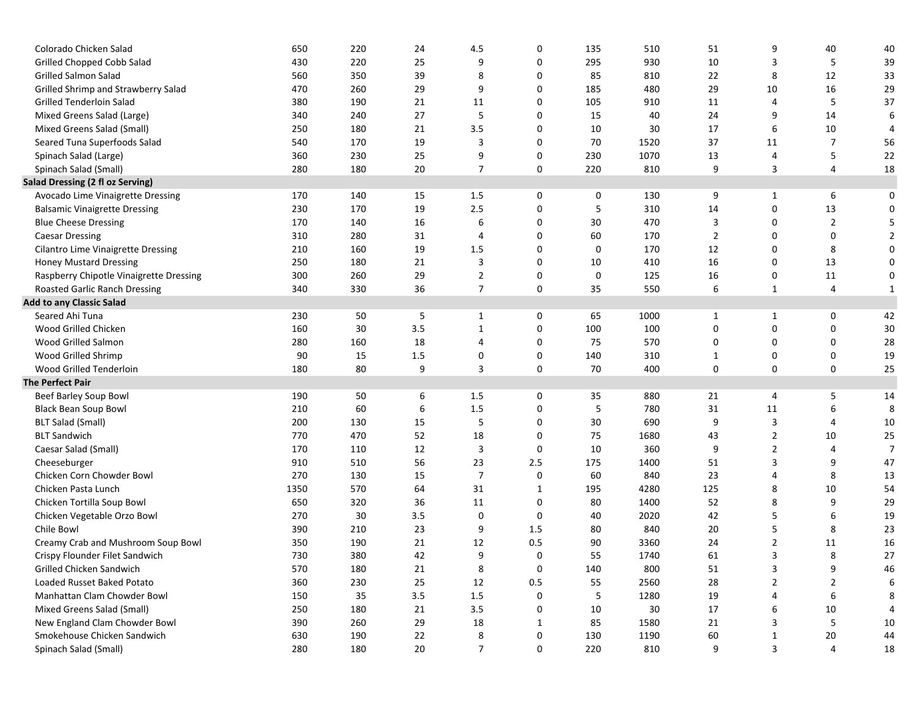| Colorado Chicken Salad                    | 650  | 220 | 24      | 4.5            | 0            | 135 | 510  | 51             | 9              | 40             | 40             |
|-------------------------------------------|------|-----|---------|----------------|--------------|-----|------|----------------|----------------|----------------|----------------|
| Grilled Chopped Cobb Salad                | 430  | 220 | 25      | 9              | 0            | 295 | 930  | 10             | 3              | 5              | 39             |
| <b>Grilled Salmon Salad</b>               | 560  | 350 | 39      | 8              | 0            | 85  | 810  | 22             | 8              | 12             | 33             |
| Grilled Shrimp and Strawberry Salad       | 470  | 260 | 29      | 9              | 0            | 185 | 480  | 29             | 10             | 16             | 29             |
| Grilled Tenderloin Salad                  | 380  | 190 | 21      | 11             | 0            | 105 | 910  | 11             | 4              | 5              | 37             |
| Mixed Greens Salad (Large)                | 340  | 240 | 27      | 5              | 0            | 15  | 40   | 24             | 9              | 14             | 6              |
| Mixed Greens Salad (Small)                | 250  | 180 | 21      | 3.5            | 0            | 10  | 30   | 17             | 6              | 10             | 4              |
| Seared Tuna Superfoods Salad              | 540  | 170 | 19      | 3              | 0            | 70  | 1520 | 37             | 11             | 7              | 56             |
| Spinach Salad (Large)                     | 360  | 230 | 25      | 9              | 0            | 230 | 1070 | 13             | 4              | 5              | 22             |
| Spinach Salad (Small)                     | 280  | 180 | 20      | $\overline{7}$ | 0            | 220 | 810  | 9              | 3              | 4              | 18             |
| Salad Dressing (2 fl oz Serving)          |      |     |         |                |              |     |      |                |                |                |                |
| Avocado Lime Vinaigrette Dressing         | 170  | 140 | 15      | $1.5\,$        | 0            | 0   | 130  | 9              | $\mathbf{1}$   | 6              | 0              |
| <b>Balsamic Vinaigrette Dressing</b>      | 230  | 170 | 19      | 2.5            | 0            | 5   | 310  | 14             | 0              | 13             | 0              |
| <b>Blue Cheese Dressing</b>               | 170  | 140 | 16      | 6              | 0            | 30  | 470  | 3              | 0              | $\overline{2}$ | 5              |
| <b>Caesar Dressing</b>                    | 310  | 280 | 31      | 4              | 0            | 60  | 170  | $\overline{2}$ | 0              | 0              | $\overline{2}$ |
| <b>Cilantro Lime Vinaigrette Dressing</b> | 210  | 160 | 19      | 1.5            | 0            | 0   | 170  | 12             | 0              | 8              | 0              |
| <b>Honey Mustard Dressing</b>             | 250  | 180 | 21      | 3              | 0            | 10  | 410  | 16             | 0              | 13             | 0              |
| Raspberry Chipotle Vinaigrette Dressing   | 300  | 260 | 29      | $\mathbf{2}$   | 0            | 0   | 125  | 16             | 0              | 11             | 0              |
| Roasted Garlic Ranch Dressing             | 340  | 330 | 36      | 7              | 0            | 35  | 550  | 6              | $\mathbf{1}$   | 4              | 1              |
| <b>Add to any Classic Salad</b>           |      |     |         |                |              |     |      |                |                |                |                |
| Seared Ahi Tuna                           | 230  | 50  | 5       | $\mathbf{1}$   | 0            | 65  | 1000 | $\mathbf{1}$   | $\mathbf{1}$   | 0              | 42             |
| Wood Grilled Chicken                      | 160  | 30  | 3.5     | $\mathbf{1}$   | 0            | 100 | 100  | 0              | 0              | 0              | $30\,$         |
| Wood Grilled Salmon                       | 280  | 160 | 18      | 4              | 0            | 75  | 570  | 0              | 0              | 0              | 28             |
| Wood Grilled Shrimp                       | 90   | 15  | 1.5     | 0              | 0            | 140 | 310  | 1              | 0              | 0              | 19             |
| Wood Grilled Tenderloin                   | 180  | 80  | 9       | 3              | 0            | 70  | 400  | 0              | 0              | 0              | 25             |
| <b>The Perfect Pair</b>                   |      |     |         |                |              |     |      |                |                |                |                |
| Beef Barley Soup Bowl                     | 190  | 50  | 6       | 1.5            | 0            | 35  | 880  | 21             | 4              | 5              | 14             |
| <b>Black Bean Soup Bowl</b>               | 210  | 60  | 6       | $1.5\,$        | 0            | 5   | 780  | 31             | 11             | 6              | 8              |
| <b>BLT Salad (Small)</b>                  | 200  | 130 | 15      | 5              | 0            | 30  | 690  | 9              | 3              | 4              | 10             |
| <b>BLT Sandwich</b>                       | 770  | 470 | 52      | 18             | 0            | 75  | 1680 | 43             | $\overline{2}$ | 10             | 25             |
| Caesar Salad (Small)                      | 170  | 110 | 12      | 3              | 0            | 10  | 360  | 9              | $\overline{2}$ | 4              | $\overline{7}$ |
| Cheeseburger                              | 910  | 510 | 56      | 23             | 2.5          | 175 | 1400 | 51             | 3              | 9              | 47             |
| Chicken Corn Chowder Bowl                 | 270  | 130 | 15      | $\overline{7}$ | 0            | 60  | 840  | 23             | 4              | 8              | 13             |
| Chicken Pasta Lunch                       | 1350 | 570 | 64      | 31             | $\mathbf{1}$ | 195 | 4280 | 125            | 8              | 10             | 54             |
| Chicken Tortilla Soup Bowl                | 650  | 320 | 36      | 11             | 0            | 80  | 1400 | 52             | 8              | 9              | 29             |
| Chicken Vegetable Orzo Bowl               | 270  | 30  | 3.5     | 0              | 0            | 40  | 2020 | 42             | 5              | 6              | 19             |
| Chile Bowl                                | 390  | 210 | 23      | 9              | 1.5          | 80  | 840  | 20             | 5              | 8              | 23             |
| Creamy Crab and Mushroom Soup Bowl        | 350  | 190 | 21      | 12             | 0.5          | 90  | 3360 | 24             | 2              | 11             | 16             |
| Crispy Flounder Filet Sandwich            | 730  | 380 | 42      | 9              | 0            | 55  | 1740 | 61             | 3              | 8              | 27             |
| Grilled Chicken Sandwich                  | 570  | 180 | 21      | 8              | 0            | 140 | 800  | 51             | 3              | 9              | 46             |
| Loaded Russet Baked Potato                | 360  | 230 | 25      | 12             | $0.5\,$      | 55  | 2560 | 28             | $\overline{2}$ | $\overline{2}$ | 6              |
| Manhattan Clam Chowder Bowl               | 150  | 35  | $3.5\,$ | $1.5\,$        | 0            | 5   | 1280 | 19             | 4              | 6              | 8              |
| Mixed Greens Salad (Small)                | 250  | 180 | 21      | 3.5            | 0            | 10  | 30   | 17             | 6              | 10             | 4              |
| New England Clam Chowder Bowl             | 390  | 260 | 29      | 18             | $\mathbf{1}$ | 85  | 1580 | 21             | 3              | 5              | $10\,$         |
| Smokehouse Chicken Sandwich               | 630  | 190 | 22      | 8              | 0            | 130 | 1190 | 60             | $\mathbf{1}$   | 20             | 44             |
| Spinach Salad (Small)                     | 280  | 180 | 20      | $\overline{7}$ | 0            | 220 | 810  | 9              | 3              | 4              | 18             |
|                                           |      |     |         |                |              |     |      |                |                |                |                |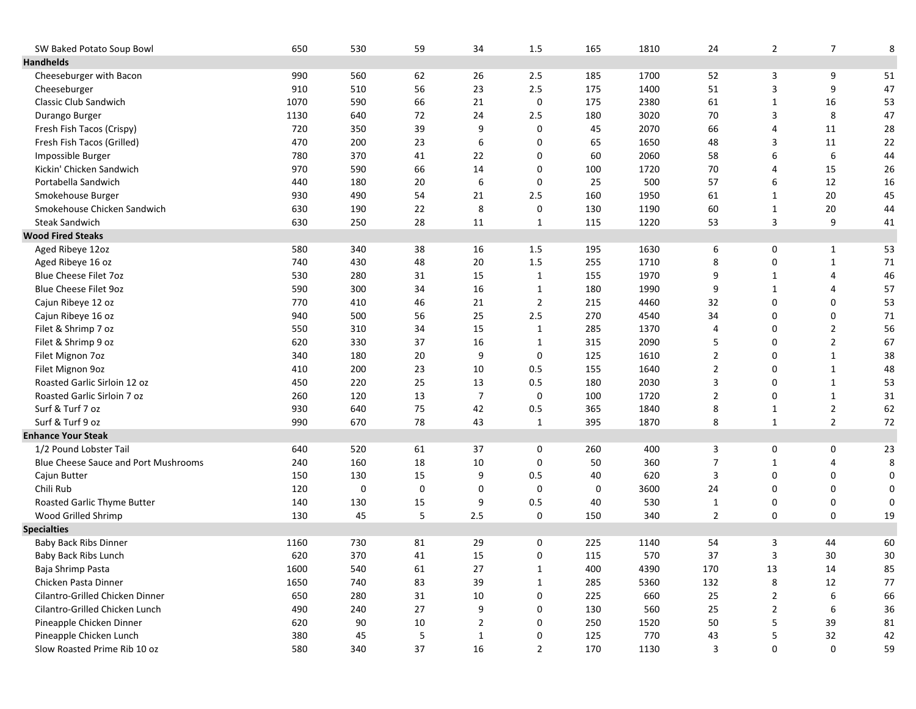| SW Baked Potato Soup Bowl            | 650  | 530 | 59          | 34             | 1.5            | 165 | 1810 | 24             | $\overline{2}$ | $\overline{7}$ | 8      |
|--------------------------------------|------|-----|-------------|----------------|----------------|-----|------|----------------|----------------|----------------|--------|
| <b>Handhelds</b>                     |      |     |             |                |                |     |      |                |                |                |        |
| Cheeseburger with Bacon              | 990  | 560 | 62          | 26             | 2.5            | 185 | 1700 | 52             | 3              | 9              | 51     |
| Cheeseburger                         | 910  | 510 | 56          | 23             | 2.5            | 175 | 1400 | 51             | 3              | 9              | 47     |
| Classic Club Sandwich                | 1070 | 590 | 66          | 21             | $\mathbf 0$    | 175 | 2380 | 61             | $\mathbf{1}$   | 16             | 53     |
| Durango Burger                       | 1130 | 640 | 72          | 24             | 2.5            | 180 | 3020 | 70             | 3              | 8              | 47     |
| Fresh Fish Tacos (Crispy)            | 720  | 350 | 39          | 9              | 0              | 45  | 2070 | 66             | 4              | 11             | 28     |
| Fresh Fish Tacos (Grilled)           | 470  | 200 | 23          | 6              | 0              | 65  | 1650 | 48             | 3              | 11             | 22     |
| Impossible Burger                    | 780  | 370 | 41          | 22             | 0              | 60  | 2060 | 58             | 6              | 6              | 44     |
| Kickin' Chicken Sandwich             | 970  | 590 | 66          | 14             | 0              | 100 | 1720 | 70             | 4              | 15             | $26\,$ |
| Portabella Sandwich                  | 440  | 180 | 20          | 6              | 0              | 25  | 500  | 57             | 6              | 12             | $16\,$ |
| Smokehouse Burger                    | 930  | 490 | 54          | 21             | 2.5            | 160 | 1950 | 61             | $\mathbf{1}$   | 20             | 45     |
| Smokehouse Chicken Sandwich          | 630  | 190 | 22          | 8              | $\mathbf 0$    | 130 | 1190 | 60             | $\mathbf{1}$   | 20             | 44     |
| <b>Steak Sandwich</b>                | 630  | 250 | 28          | 11             | 1              | 115 | 1220 | 53             | 3              | 9              | 41     |
| <b>Wood Fired Steaks</b>             |      |     |             |                |                |     |      |                |                |                |        |
| Aged Ribeye 12oz                     | 580  | 340 | 38          | 16             | 1.5            | 195 | 1630 | 6              | 0              | $\mathbf{1}$   | 53     |
| Aged Ribeye 16 oz                    | 740  | 430 | 48          | 20             | 1.5            | 255 | 1710 | 8              | 0              | $\mathbf{1}$   | $71\,$ |
| Blue Cheese Filet 7oz                | 530  | 280 | 31          | 15             | $\mathbf{1}$   | 155 | 1970 | 9              | $\mathbf{1}$   | 4              | 46     |
| <b>Blue Cheese Filet 9oz</b>         | 590  | 300 | 34          | 16             | $\mathbf{1}$   | 180 | 1990 | 9              | $\mathbf{1}$   | 4              | 57     |
| Cajun Ribeye 12 oz                   | 770  | 410 | 46          | 21             | 2              | 215 | 4460 | 32             | 0              | 0              | 53     |
| Cajun Ribeye 16 oz                   | 940  | 500 | 56          | 25             | 2.5            | 270 | 4540 | 34             | 0              | 0              | $71\,$ |
| Filet & Shrimp 7 oz                  | 550  | 310 | 34          | 15             | 1              | 285 | 1370 | 4              | 0              | $\overline{2}$ | 56     |
| Filet & Shrimp 9 oz                  | 620  | 330 | 37          | 16             | 1              | 315 | 2090 | 5              | 0              | $\overline{2}$ | 67     |
| Filet Mignon 7oz                     | 340  | 180 | 20          | 9              | 0              | 125 | 1610 | $\overline{2}$ | 0              | $\mathbf{1}$   | 38     |
| Filet Mignon 9oz                     | 410  | 200 | 23          | 10             | 0.5            | 155 | 1640 | $\overline{2}$ | 0              | $\mathbf{1}$   | 48     |
| Roasted Garlic Sirloin 12 oz         | 450  | 220 | 25          | 13             | 0.5            | 180 | 2030 | 3              | 0              | $\mathbf{1}$   | 53     |
| Roasted Garlic Sirloin 7 oz          | 260  | 120 | 13          | $\overline{7}$ | 0              | 100 | 1720 | $\overline{2}$ | 0              | $\mathbf{1}$   | $31\,$ |
| Surf & Turf 7 oz                     | 930  | 640 | 75          | 42             | 0.5            | 365 | 1840 | 8              | 1              | $\overline{2}$ | 62     |
| Surf & Turf 9 oz                     | 990  | 670 | 78          | 43             | $\mathbf{1}$   | 395 | 1870 | 8              | $\mathbf{1}$   | $\overline{2}$ | $72\,$ |
| <b>Enhance Your Steak</b>            |      |     |             |                |                |     |      |                |                |                |        |
| 1/2 Pound Lobster Tail               | 640  | 520 | 61          | 37             | 0              | 260 | 400  | 3              | 0              | 0              | 23     |
| Blue Cheese Sauce and Port Mushrooms | 240  | 160 | 18          | 10             | 0              | 50  | 360  | $\overline{7}$ | $\mathbf{1}$   | 4              | 8      |
| Cajun Butter                         | 150  | 130 | 15          | 9              | 0.5            | 40  | 620  | 3              | 0              | 0              | 0      |
| Chili Rub                            | 120  | 0   | $\mathbf 0$ | 0              | 0              | 0   | 3600 | 24             | 0              | 0              | 0      |
| Roasted Garlic Thyme Butter          | 140  | 130 | 15          | 9              | 0.5            | 40  | 530  | $\mathbf{1}$   | 0              | 0              | 0      |
| Wood Grilled Shrimp                  | 130  | 45  | 5           | 2.5            | 0              | 150 | 340  | $\overline{2}$ | 0              | 0              | 19     |
| <b>Specialties</b>                   |      |     |             |                |                |     |      |                |                |                |        |
| <b>Baby Back Ribs Dinner</b>         | 1160 | 730 | 81          | 29             | 0              | 225 | 1140 | 54             | 3              | 44             | 60     |
| Baby Back Ribs Lunch                 | 620  | 370 | 41          | 15             | 0              | 115 | 570  | 37             | 3              | 30             | 30     |
| Baja Shrimp Pasta                    | 1600 | 540 | 61          | 27             | $\mathbf{1}$   | 400 | 4390 | 170            | 13             | 14             | 85     |
| Chicken Pasta Dinner                 | 1650 | 740 | 83          | 39             | $\mathbf{1}$   | 285 | 5360 | 132            | 8              | 12             | 77     |
| Cilantro-Grilled Chicken Dinner      | 650  | 280 | 31          | 10             | $\pmb{0}$      | 225 | 660  | 25             | $\overline{2}$ | 6              | 66     |
| Cilantro-Grilled Chicken Lunch       | 490  | 240 | 27          | 9              | 0              | 130 | 560  | 25             | $\overline{2}$ | 6              | 36     |
| Pineapple Chicken Dinner             | 620  | 90  | 10          | $\overline{2}$ | 0              | 250 | 1520 | 50             | 5              | 39             | 81     |
| Pineapple Chicken Lunch              | 380  | 45  | 5           | $\mathbf{1}$   | 0              | 125 | 770  | 43             | 5              | 32             | 42     |
| Slow Roasted Prime Rib 10 oz         | 580  | 340 | 37          | 16             | $\overline{2}$ | 170 | 1130 | 3              | 0              | 0              | 59     |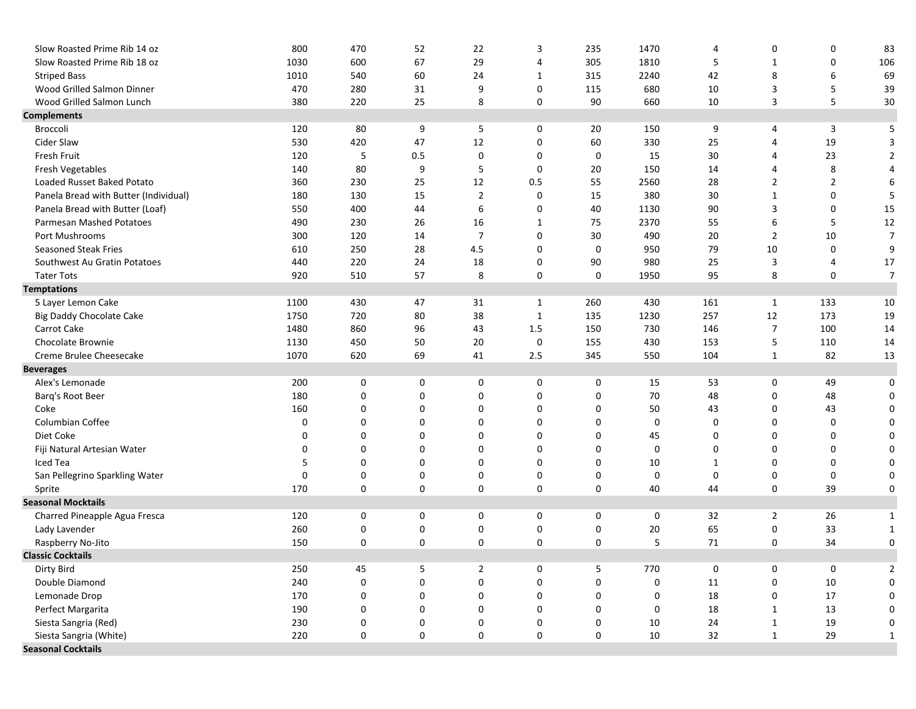| Slow Roasted Prime Rib 14 oz          | 800  | 470       | 52          | 22                  | 3            | 235         | 1470 | 4            | 0              | 0              | 83             |
|---------------------------------------|------|-----------|-------------|---------------------|--------------|-------------|------|--------------|----------------|----------------|----------------|
| Slow Roasted Prime Rib 18 oz          | 1030 | 600       | 67          | 29                  | 4            | 305         | 1810 | 5            | 1              | 0              | 106            |
| <b>Striped Bass</b>                   | 1010 | 540       | 60          | 24                  | 1            | 315         | 2240 | 42           | 8              | 6              | 69             |
| Wood Grilled Salmon Dinner            | 470  | 280       | 31          | 9                   | 0            | 115         | 680  | 10           | 3              | 5              | 39             |
| Wood Grilled Salmon Lunch             | 380  | 220       | 25          | 8                   | 0            | 90          | 660  | 10           | 3              | 5              | 30             |
| <b>Complements</b>                    |      |           |             |                     |              |             |      |              |                |                |                |
| Broccoli                              | 120  | 80        | 9           | 5                   | 0            | 20          | 150  | 9            | 4              | 3              | 5              |
| Cider Slaw                            | 530  | 420       | 47          | 12                  | 0            | 60          | 330  | 25           | 4              | 19             | 3              |
| Fresh Fruit                           | 120  | 5         | 0.5         | 0                   | 0            | 0           | 15   | 30           | 4              | 23             | 2              |
| Fresh Vegetables                      | 140  | 80        | 9           | 5                   | 0            | 20          | 150  | 14           | 4              | 8              | 4              |
| Loaded Russet Baked Potato            | 360  | 230       | 25          | 12                  | 0.5          | 55          | 2560 | 28           | $\overline{2}$ | $\overline{2}$ | 6              |
| Panela Bread with Butter (Individual) | 180  | 130       | 15          | $\overline{2}$      | 0            | 15          | 380  | 30           | $\mathbf{1}$   | 0              | 5              |
| Panela Bread with Butter (Loaf)       | 550  | 400       | 44          | 6                   | 0            | 40          | 1130 | 90           | 3              | 0              | 15             |
| Parmesan Mashed Potatoes              | 490  | 230       | 26          | 16                  | 1            | 75          | 2370 | 55           | 6              | 5              | $12\,$         |
| Port Mushrooms                        | 300  | 120       | 14          | $\overline{7}$      | 0            | 30          | 490  | 20           | $\overline{2}$ | 10             | $\overline{7}$ |
| <b>Seasoned Steak Fries</b>           | 610  | 250       | 28          | 4.5                 | 0            | 0           | 950  | 79           | 10             | 0              | 9              |
| Southwest Au Gratin Potatoes          | 440  | 220       | 24          | 18                  | 0            | 90          | 980  | 25           | 3              | 4              | 17             |
| <b>Tater Tots</b>                     | 920  | 510       | 57          | 8                   | 0            | 0           | 1950 | 95           | 8              | 0              | $\overline{7}$ |
| <b>Temptations</b>                    |      |           |             |                     |              |             |      |              |                |                |                |
| 5 Layer Lemon Cake                    | 1100 | 430       | 47          | 31                  | 1            | 260         | 430  | 161          | $\mathbf{1}$   | 133            | $10\,$         |
| <b>Big Daddy Chocolate Cake</b>       | 1750 | 720       | 80          | 38                  | $\mathbf{1}$ | 135         | 1230 | 257          | 12             | 173            | 19             |
| Carrot Cake                           | 1480 | 860       | 96          | 43                  | 1.5          | 150         | 730  | 146          | $\overline{7}$ | 100            | 14             |
| Chocolate Brownie                     | 1130 | 450       | 50          | 20                  | 0            | 155         | 430  | 153          | 5              | 110            | 14             |
| Creme Brulee Cheesecake               | 1070 | 620       | 69          | 41                  | 2.5          | 345         | 550  | 104          | $\mathbf{1}$   | 82             | 13             |
| <b>Beverages</b>                      |      |           |             |                     |              |             |      |              |                |                |                |
| Alex's Lemonade                       | 200  | 0         | 0           | 0                   | 0            | 0           | 15   | 53           | 0              | 49             | 0              |
| Barq's Root Beer                      | 180  | 0         | 0           | 0                   | 0            | 0           | 70   | 48           | 0              | 48             | 0              |
| Coke                                  | 160  | 0         | 0           | 0                   | 0            | 0           | 50   | 43           | 0              | 43             | 0              |
| Columbian Coffee                      | 0    | 0         | 0           | 0                   | 0            | 0           | 0    | 0            | 0              | 0              | 0              |
| Diet Coke                             | 0    | 0         | $\mathbf 0$ | 0                   | 0            | 0           | 45   | 0            | 0              | 0              | 0              |
| Fiji Natural Artesian Water           | 0    | 0         | 0           | 0                   | 0            | $\mathbf 0$ | 0    | 0            | 0              | 0              | 0              |
| Iced Tea                              | 5    | 0         | 0           | $\Omega$            | 0            | 0           | 10   | $\mathbf{1}$ | 0              | 0              | 0              |
| San Pellegrino Sparkling Water        | 0    | 0         | 0           | 0                   | 0            | 0           | 0    | 0            | 0              | 0              | 0              |
| Sprite                                | 170  | 0         | 0           | 0                   | 0            | 0           | 40   | 44           | 0              | 39             | 0              |
| <b>Seasonal Mocktails</b>             |      |           |             |                     |              |             |      |              |                |                |                |
| Charred Pineapple Agua Fresca         | 120  | 0         | 0           | 0                   | 0            | 0           | 0    | 32           | $\overline{2}$ | 26             | 1              |
| Lady Lavender                         | 260  | 0         | 0           | 0                   | 0            | 0           | 20   | 65           | 0              | 33             | 1              |
| Raspberry No-Jito                     | 150  | 0         | $\mathbf 0$ | 0                   | 0            | $\mathbf 0$ | 5    | 71           | 0              | 34             | 0              |
| <b>Classic Cocktails</b>              |      |           |             |                     |              |             |      |              |                |                |                |
| Dirty Bird                            | 250  | 45        | 5           | $\overline{2}$      | 0            | 5           | 770  | 0            | 0              | 0              | 2              |
| Double Diamond                        | 240  | 0         | 0           | $\mathsf{O}\xspace$ | 0            | $\pmb{0}$   | 0    | 11           | 0              | 10             | 0              |
| Lemonade Drop                         | 170  | $\pmb{0}$ | 0           | 0                   | 0            | 0           | 0    | 18           | 0              | 17             | 0              |
| Perfect Margarita                     | 190  | $\pmb{0}$ | 0           | 0                   | 0            | 0           | 0    | 18           | $\mathbf{1}$   | 13             | 0              |
| Siesta Sangria (Red)                  | 230  | $\pmb{0}$ | 0           | 0                   | 0            | 0           | 10   | 24           | $\mathbf{1}$   | 19             | 0              |
| Siesta Sangria (White)                | 220  | 0         | 0           | 0                   | 0            | 0           | 10   | 32           | $\mathbf{1}$   | 29             | 1              |
| <b>Seasonal Cocktails</b>             |      |           |             |                     |              |             |      |              |                |                |                |